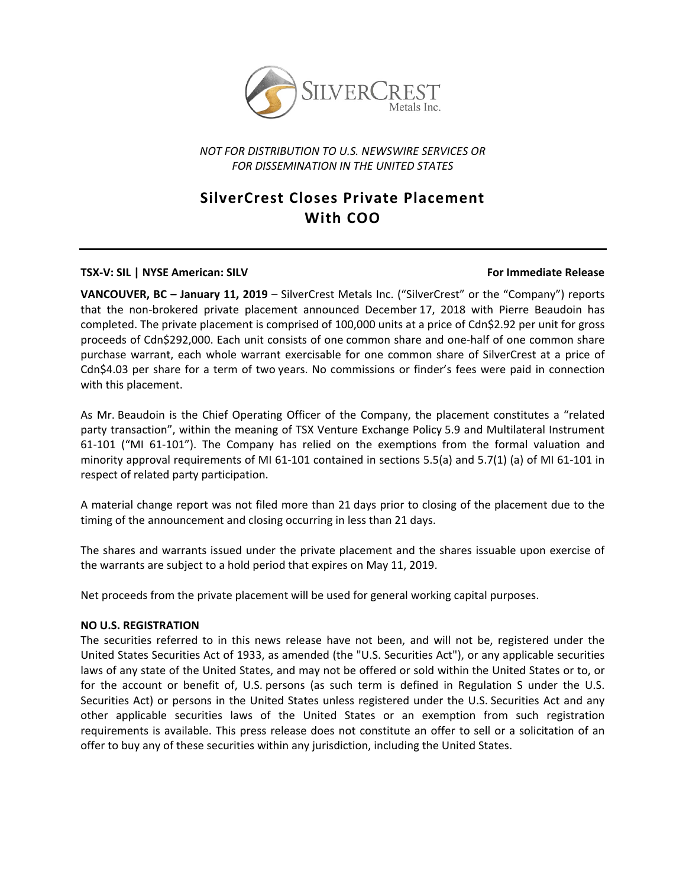

## *NOT FOR DISTRIBUTION TO U.S. NEWSWIRE SERVICES OR FOR DISSEMINATION IN THE UNITED STATES*

# **SilverCrest Closes Private Placement With COO**

### **TSX‐V: SIL | NYSE American: SILV For Immediate Release**

**VANCOUVER, BC – January 11, 2019** – SilverCrest Metals Inc. ("SilverCrest" or the "Company") reports that the non‐brokered private placement announced December 17, 2018 with Pierre Beaudoin has completed. The private placement is comprised of 100,000 units at a price of Cdn\$2.92 per unit for gross proceeds of Cdn\$292,000. Each unit consists of one common share and one‐half of one common share purchase warrant, each whole warrant exercisable for one common share of SilverCrest at a price of Cdn\$4.03 per share for a term of two years. No commissions or finder's fees were paid in connection with this placement.

As Mr. Beaudoin is the Chief Operating Officer of the Company, the placement constitutes a "related party transaction", within the meaning of TSX Venture Exchange Policy 5.9 and Multilateral Instrument 61‐101 ("MI 61‐101"). The Company has relied on the exemptions from the formal valuation and minority approval requirements of MI 61-101 contained in sections 5.5(a) and 5.7(1) (a) of MI 61-101 in respect of related party participation.

A material change report was not filed more than 21 days prior to closing of the placement due to the timing of the announcement and closing occurring in less than 21 days.

The shares and warrants issued under the private placement and the shares issuable upon exercise of the warrants are subject to a hold period that expires on May 11, 2019.

Net proceeds from the private placement will be used for general working capital purposes.

### **NO U.S. REGISTRATION**

The securities referred to in this news release have not been, and will not be, registered under the United States Securities Act of 1933, as amended (the "U.S. Securities Act"), or any applicable securities laws of any state of the United States, and may not be offered or sold within the United States or to, or for the account or benefit of, U.S. persons (as such term is defined in Regulation S under the U.S. Securities Act) or persons in the United States unless registered under the U.S. Securities Act and any other applicable securities laws of the United States or an exemption from such registration requirements is available. This press release does not constitute an offer to sell or a solicitation of an offer to buy any of these securities within any jurisdiction, including the United States.